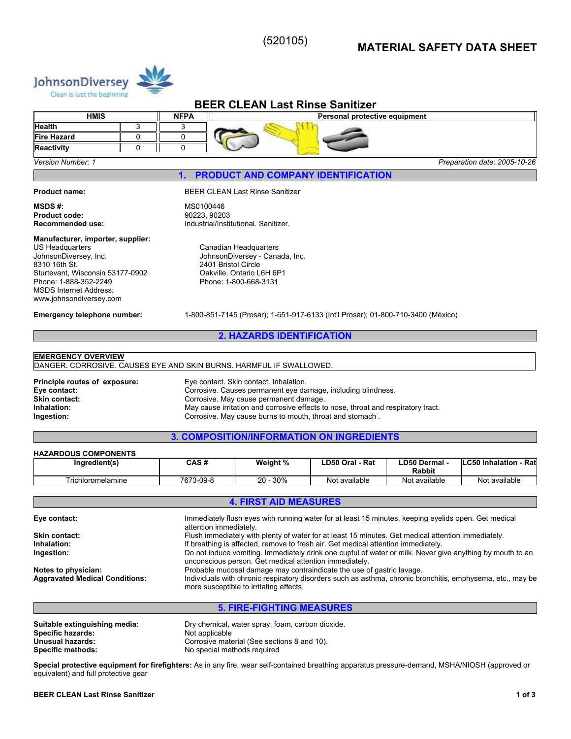(520105)

# **MATERIAL SAFETY DATA SHEET**



# **BEER CLEAN Last Rinse Sanitizer**

|                          | <b>HMIS</b> | <b>NFPA</b> | Personal protective equipment |
|--------------------------|-------------|-------------|-------------------------------|
| <b>Health</b>            |             |             |                               |
| <b>Fire Hazard</b>       |             |             |                               |
| <b>Reactivity</b>        |             |             |                               |
| <b>Version Number: 1</b> |             |             | Preparation date: 2005-10-26  |

**1. PRODUCT AND COMPANY IDENTIFICATION** 

**Product code:** 

#### **Product name:** BEER CLEAN Last Rinse Sanitizer

**MSDS #:** MS0100446 **Recommended use:** Industrial/Institutional. Sanitizer.

#### **Manufacturer, importer, supplier:**

US Headquarters JohnsonDiversey, Inc. 8310 16th St. Sturtevant, Wisconsin 53177-0902 Phone: 1-888-352-2249 MSDS Internet Address: www.johnsondiversey.com

Canadian Headquarters JohnsonDiversey - Canada, Inc. 2401 Bristol Circle Oakville, Ontario L6H 6P1 Phone: 1-800-668-3131

**Emergency telephone number:** 1-800-851-7145 (Prosar); 1-651-917-6133 (Int'l Prosar); 01-800-710-3400 (México)

# **2. HAZARDS IDENTIFICATION**

# **EMERGENCY OVERVIEW**

DANGER. CORROSIVE. CAUSES EYE AND SKIN BURNS. HARMFUL IF SWALLOWED.

**Principle routes of exposure:** Eye contact. Skin contact. Inhalation. **Eye contact:** Corrosive. Causes permanent eye damage, including blindness.<br> **Skin contact:** Corrosive. May cause permanent damage. **Skin contact:** Corrosive. May cause permanent damage.<br> **Corrosive permanent damage.**<br>
May cause irritation and corrosive effects to **Inhalation:** May cause irritation and corrosive effects to nose, throat and respiratory tract.<br> **Ingestion:** Corrosive. May cause burns to mouth, throat and stomach. **Ingestion:** Corrosive. May cause burns to mouth, throat and stomach .

# **3. COMPOSITION/INFORMATION ON INGREDIENTS**

| Ingredient(s)     | CAS #     | Weight %    | LD50 Oral - Rat | ∟D50 Dermal -<br><b>Rabbit</b> | <b>ILC50 Inhalation</b><br>- Rat |
|-------------------|-----------|-------------|-----------------|--------------------------------|----------------------------------|
| Trichloromelamine | 7673-09-8 | 30%<br>20 - | Not available   | Not available                  | Not available                    |

# **4. FIRST AID MEASURES**

| Immediately flush eyes with running water for at least 15 minutes, keeping eyelids open. Get medical<br>attention immediately.                                      |
|---------------------------------------------------------------------------------------------------------------------------------------------------------------------|
| Flush immediately with plenty of water for at least 15 minutes. Get medical attention immediately.                                                                  |
| If breathing is affected, remove to fresh air. Get medical attention immediately.                                                                                   |
| Do not induce vomiting. Immediately drink one cupful of water or milk. Never give anything by mouth to an<br>unconscious person. Get medical attention immediately. |
| Probable mucosal damage may contraindicate the use of gastric lavage.                                                                                               |
| Individuals with chronic respiratory disorders such as asthma, chronic bronchitis, emphysema, etc., may be<br>more susceptible to irritating effects.               |
|                                                                                                                                                                     |

# **5. FIRE-FIGHTING MEASURES**

| Suitable extinguishing media: | Dry chemical, water spray, foam, carbon dioxide. |
|-------------------------------|--------------------------------------------------|
| Specific hazards:             | Not applicable                                   |
| Unusual hazards:              | Corrosive material (See sections 8 and 10).      |
| <b>Specific methods:</b>      | No special methods required                      |

**Special protective equipment for firefighters:** As in any fire, wear self-contained breathing apparatus pressure-demand, MSHA/NIOSH (approved or equivalent) and full protective gear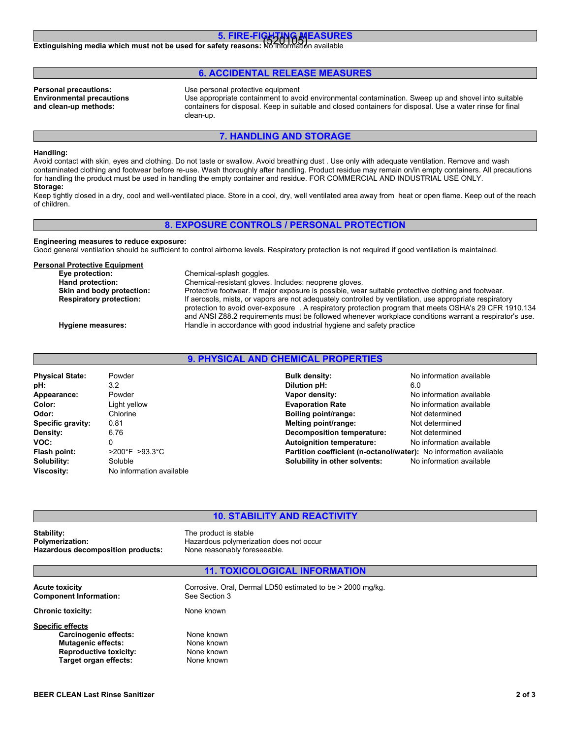# **5. FIRE-FIGHTING MEASURES**

**Extinguishing media which must not be used for safety reasons: No information available**<br>Extinguishing media which must not be used for safety reasons: No information available

# **6. ACCIDENTAL RELEASE MEASURES**

**Environmental precautions and clean-up methods:**

**Personal precautions:** Use personal protective equipment

Use appropriate containment to avoid environmental contamination. Sweep up and shovel into suitable containers for disposal. Keep in suitable and closed containers for disposal. Use a water rinse for final clean-up.

# **7. HANDLING AND STORAGE**

# **Handling:**

Avoid contact with skin, eyes and clothing. Do not taste or swallow. Avoid breathing dust . Use only with adequate ventilation. Remove and wash contaminated clothing and footwear before re-use. Wash thoroughly after handling. Product residue may remain on/in empty containers. All precautions for handling the product must be used in handling the empty container and residue. FOR COMMERCIAL AND INDUSTRIAL USE ONLY. **Storage:**

Keep tightly closed in a dry, cool and well-ventilated place. Store in a cool, dry, well ventilated area away from heat or open flame. Keep out of the reach of children.

### **8. EXPOSURE CONTROLS / PERSONAL PROTECTION**

#### **Engineering measures to reduce exposure:**

Good general ventilation should be sufficient to control airborne levels. Respiratory protection is not required if good ventilation is maintained.

| <b>Personal Protective Equipment</b> |                                                                                                                                                                                                                   |
|--------------------------------------|-------------------------------------------------------------------------------------------------------------------------------------------------------------------------------------------------------------------|
| Eye protection:                      | Chemical-splash goggles.                                                                                                                                                                                          |
| Hand protection:                     | Chemical-resistant gloves. Includes: neoprene gloves.                                                                                                                                                             |
| Skin and body protection:            | Protective footwear. If major exposure is possible, wear suitable protective clothing and footwear.                                                                                                               |
| <b>Respiratory protection:</b>       | If aerosols, mists, or vapors are not adequately controlled by ventilation, use appropriate respiratory<br>protection to avoid over-exposure . A respiratory protection program that meets OSHA's 29 CFR 1910.134 |
| Hygiene measures:                    | and ANSI Z88.2 requirements must be followed whenever workplace conditions warrant a respirator's use.<br>Handle in accordance with good industrial hygiene and safety practice                                   |

# **9. PHYSICAL AND CHEMICAL PROPERTIES**

| <b>Physical State:</b> | Powder                             | <b>Bulk density:</b>                                              | No information available |
|------------------------|------------------------------------|-------------------------------------------------------------------|--------------------------|
| pH:                    | 3.2                                | Dilution pH:                                                      | 6.0                      |
| Appearance:            | Powder                             | Vapor density:                                                    | No information available |
| Color:                 | Light yellow                       | <b>Evaporation Rate</b>                                           | No information available |
| Odor:                  | Chlorine                           | Boiling point/range:                                              | Not determined           |
| Specific gravity:      | 0.81                               | Melting point/range:                                              | Not determined           |
| Density:               | 6.76                               | <b>Decomposition temperature:</b>                                 | Not determined           |
| VOC:                   | 0                                  | <b>Autoignition temperature:</b>                                  | No information available |
| Flash point:           | $>200^{\circ}$ F $>93.3^{\circ}$ C | Partition coefficient (n-octanol/water): No information available |                          |
| Solubility:            | Soluble                            | Solubility in other solvents:                                     | No information available |
| Viscosity:             | No information available           |                                                                   |                          |

# **10. STABILITY AND REACTIVITY**<br> **10. STABILITY AND REACTIVITY**<br>
The product is stable

**Polymerization:** Hazardous polymerization does not occur **Hazardous decomposition products:** None reasonably foreseeable.

The product is stable

# **11. TOXICOLOGICAL INFORMATION**

**Acute toxicity** Corrosive. Oral, Dermal LD50 estimated to be > 2000 mg/kg.<br>
Component Information: See Section 3 **Component Information: Chronic toxicity:** None known **Specific effects** Carcinogenic effects: None known **Mutagenic effects:** None known **Reproductive toxicity:** None known<br> **Target organ effects:** None known **Target organ effects:**